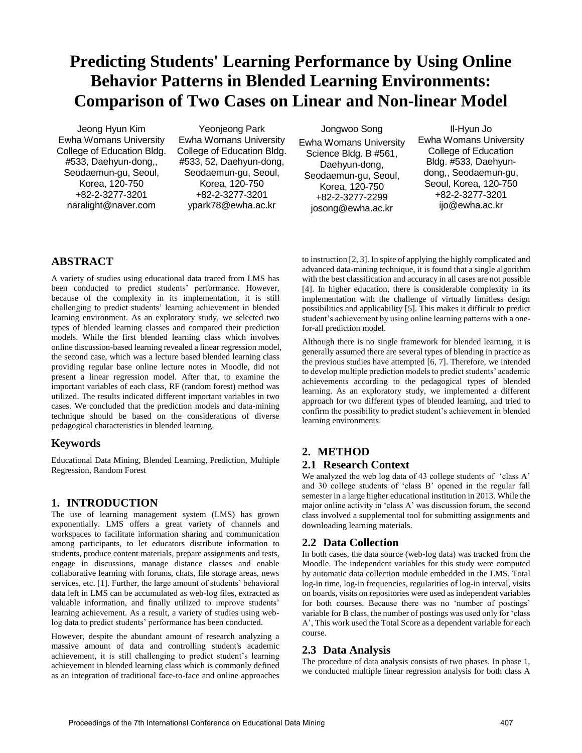# **Predicting Students' Learning Performance by Using Online Behavior Patterns in Blended Learning Environments: Comparison of Two Cases on Linear and Non-linear Model**

Jeong Hyun Kim Ewha Womans University College of Education Bldg. #533, Daehyun-dong,, Seodaemun-gu, Seoul, Korea, 120-750 +82-2-3277-3201 naralight@naver.com

Yeonjeong Park Ewha Womans University College of Education Bldg. #533, 52, Daehyun-dong, Seodaemun-gu, Seoul, Korea, 120-750 +82-2-3277-3201 ypark78@ewha.ac.kr

Jongwoo Song Ewha Womans University Science Bldg. B #561, Daehyun-dong, Seodaemun-gu, Seoul, Korea, 120-750 +82-2-3277-2299 josong@ewha.ac.kr

Il-Hyun Jo Ewha Womans University College of Education Bldg. #533, Daehyundong,, Seodaemun-gu, Seoul, Korea, 120-750 +82-2-3277-3201 ijo@ewha.ac.kr

## **ABSTRACT**

A variety of studies using educational data traced from LMS has been conducted to predict students' performance. However, because of the complexity in its implementation, it is still challenging to predict students' learning achievement in blended learning environment. As an exploratory study, we selected two types of blended learning classes and compared their prediction models. While the first blended learning class which involves online discussion-based learning revealed a linear regression model, the second case, which was a lecture based blended learning class providing regular base online lecture notes in Moodle, did not present a linear regression model. After that, to examine the important variables of each class, RF (random forest) method was utilized. The results indicated different important variables in two cases. We concluded that the prediction models and data-mining technique should be based on the considerations of diverse pedagogical characteristics in blended learning.

## **Keywords**

Educational Data Mining, Blended Learning, Prediction, Multiple Regression, Random Forest

### **1. INTRODUCTION**

The use of learning management system (LMS) has grown exponentially. LMS offers a great variety of channels and workspaces to facilitate information sharing and communication among participants, to let educators distribute information to students, produce content materials, prepare assignments and tests, engage in discussions, manage distance classes and enable collaborative learning with forums, chats, file storage areas, news services, etc. [\[1\]](#page-1-0). Further, the large amount of students' behavioral data left in LMS can be accumulated as web-log files, extracted as valuable information, and finally utilized to improve students' learning achievement. As a result, a variety of studies using weblog data to predict students' performance has been conducted.

However, despite the abundant amount of research analyzing a massive amount of data and controlling student's academic achievement, it is still challenging to predict student's learning achievement in blended learning class which is commonly defined as an integration of traditional face-to-face and online approaches

to instruction [\[2,](#page-1-1) [3\]](#page-1-2). In spite of applying the highly complicated and advanced data-mining technique, it is found that a single algorithm with the best classification and accuracy in all cases are not possible [\[4\]](#page-1-3). In higher education, there is considerable complexity in its implementation with the challenge of virtually limitless design possibilities and applicability [\[5\]](#page-1-4). This makes it difficult to predict student's achievement by using online learning patterns with a onefor-all prediction model.

Although there is no single framework for blended learning, it is generally assumed there are several types of blending in practice as the previous studies have attempted [\[6,](#page-1-5) [7\]](#page-1-6). Therefore, we intended to develop multiple prediction models to predict students' academic achievements according to the pedagogical types of blended learning. As an exploratory study, we implemented a different approach for two different types of blended learning, and tried to confirm the possibility to predict student's achievement in blended learning environments.

## **2. METHOD**

## **2.1 Research Context**

We analyzed the web log data of 43 college students of 'class A' and 30 college students of 'class B' opened in the regular fall semester in a large higher educational institution in 2013. While the major online activity in 'class A' was discussion forum, the second class involved a supplemental tool for submitting assignments and downloading learning materials.

## **2.2 Data Collection**

In both cases, the data source (web-log data) was tracked from the Moodle. The independent variables for this study were computed by automatic data collection module embedded in the LMS. Total log-in time, log-in frequencies, regularities of log-in interval, visits on boards, visits on repositories were used as independent variables for both courses. Because there was no 'number of postings' variable for B class, the number of postings was used only for 'class A', This work used the Total Score as a dependent variable for each course.

### **2.3 Data Analysis**

The procedure of data analysis consists of two phases. In phase 1, we conducted multiple linear regression analysis for both class A